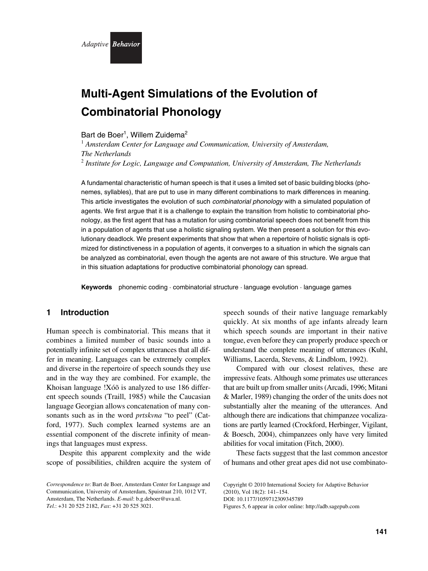

# **Multi-Agent Simulations of the Evolution of Combinatorial Phonology**

Bart de Boer<sup>1</sup>, Willem Zuidema<sup>2</sup>

<sup>1</sup> Amsterdam Center for Language and Communication, University of Amsterdam, *The Netherlands* 2  *Institute for Logic, Language and Computation, University of Amsterdam, The Netherlands*

A fundamental characteristic of human speech is that it uses a limited set of basic building blocks (phonemes, syllables), that are put to use in many different combinations to mark differences in meaning. This article investigates the evolution of such *combinatorial phonology* with a simulated population of agents. We first argue that it is a challenge to explain the transition from holistic to combinatorial phonology, as the first agent that has a mutation for using combinatorial speech does not benefit from this in a population of agents that use a holistic signaling system. We then present a solution for this evolutionary deadlock. We present experiments that show that when a repertoire of holistic signals is optimized for distinctiveness in a population of agents, it converges to a situation in which the signals can be analyzed as combinatorial, even though the agents are not aware of this structure. We argue that in this situation adaptations for productive combinatorial phonology can spread.

**Keywords** phonemic coding · combinatorial structure · language evolution · language games

# **1 Introduction**

Human speech is combinatorial. This means that it combines a limited number of basic sounds into a potentially infinite set of complex utterances that all differ in meaning. Languages can be extremely complex and diverse in the repertoire of speech sounds they use and in the way they are combined. For example, the Khoisan language !Xóõ is analyzed to use 186 different speech sounds (Traill, 1985) while the Caucasian language Georgian allows concatenation of many consonants such as in the word *prtskvna* "to peel" (Catford, 1977). Such complex learned systems are an essential component of the discrete infinity of meanings that languages must express.

Despite this apparent complexity and the wide scope of possibilities, children acquire the system of speech sounds of their native language remarkably quickly. At six months of age infants already learn which speech sounds are important in their native tongue, even before they can properly produce speech or understand the complete meaning of utterances (Kuhl, Williams, Lacerda, Stevens, & Lindblom, 1992).

Compared with our closest relatives, these are impressive feats. Although some primates use utterances that are built up from smaller units (Arcadi, 1996; Mitani & Marler, 1989) changing the order of the units does not substantially alter the meaning of the utterances. And although there are indications that chimpanzee vocalizations are partly learned (Crockford, Herbinger, Vigilant, & Boesch, 2004), chimpanzees only have very limited abilities for vocal imitation (Fitch, 2000).

These facts suggest that the last common ancestor of humans and other great apes did not use combinato-

DOI: 10.1177/1059712309345789

*Correspondence to*: Bart de Boer, Amsterdam Center for Language and Communication, University of Amsterdam, Spuistraat 210, 1012 VT, Amsterdam, The Netherlands. *E-mail*: b.g.deboer@uva.nl. *Tel.*: +31 20 525 2182, *Fax*: +31 20 525 3021.

Copyright © 2010 International Society for Adaptive Behavior (2010), Vol 18(2): 141–154.

Figures 5, 6 appear in color online: http://adb.sagepub.com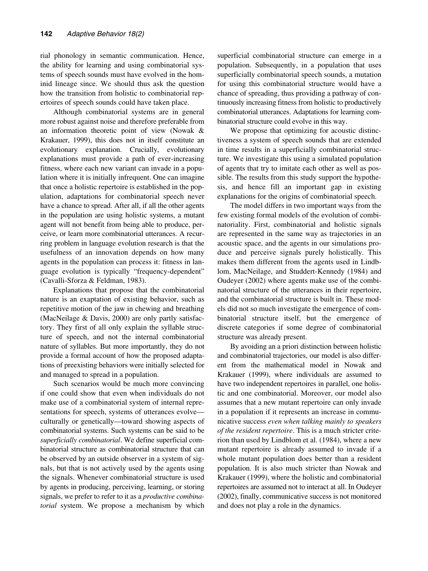rial phonology in semantic communication. Hence, the ability for learning and using combinatorial systems of speech sounds must have evolved in the hominid lineage since. We should thus ask the question how the transition from holistic to combinatorial repertoires of speech sounds could have taken place.

Although combinatorial systems are in general more robust against noise and therefore preferable from an information theoretic point of view (Nowak & Krakauer, 1999), this does not in itself constitute an evolutionary explanation. Crucially, evolutionary explanations must provide a path of ever-increasing fitness, where each new variant can invade in a population where it is initially infrequent. One can imagine that once a holistic repertoire is established in the population, adaptations for combinatorial speech never have a chance to spread. After all, if all the other agents in the population are using holistic systems, a mutant agent will not benefit from being able to produce, perceive, or learn more combinatorial utterances. A recurring problem in language evolution research is that the usefulness of an innovation depends on how many agents in the population can process it: fitness in language evolution is typically "frequency-dependent" (Cavalli-Sforza & Feldman, 1983).

Explanations that propose that the combinatorial nature is an exaptation of existing behavior, such as repetitive motion of the jaw in chewing and breathing (MacNeilage & Davis, 2000) are only partly satisfactory. They first of all only explain the syllable structure of speech, and not the internal combinatorial nature of syllables. But more importantly, they do not provide a formal account of how the proposed adaptations of preexisting behaviors were initially selected for and managed to spread in a population.

Such scenarios would be much more convincing if one could show that even when individuals do not make use of a combinatorial system of internal representations for speech, systems of utterances evolve culturally or genetically—toward showing aspects of combinatorial systems. Such systems can be said to be *superficially combinatorial*. We define superficial combinatorial structure as combinatorial structure that can be observed by an outside observer in a system of signals, but that is not actively used by the agents using the signals. Whenever combinatorial structure is used by agents in producing, perceiving, learning, or storing signals, we prefer to refer to it as a *productive combinatorial* system. We propose a mechanism by which

superficial combinatorial structure can emerge in a population. Subsequently, in a population that uses superficially combinatorial speech sounds, a mutation for using this combinatorial structure would have a chance of spreading, thus providing a pathway of continuously increasing fitness from holistic to productively combinatorial utterances. Adaptations for learning combinatorial structure could evolve in this way.

We propose that optimizing for acoustic distinctiveness a system of speech sounds that are extended in time results in a superficially combinatorial structure. We investigate this using a simulated population of agents that try to imitate each other as well as possible. The results from this study support the hypothesis, and hence fill an important gap in existing explanations for the origins of combinatorial speech.

The model differs in two important ways from the few existing formal models of the evolution of combinatoriality. First, combinatorial and holistic signals are represented in the same way as trajectories in an acoustic space, and the agents in our simulations produce and perceive signals purely holistically. This makes them different from the agents used in Lindblom, MacNeilage, and Studdert-Kennedy (1984) and Oudeyer (2002) where agents make use of the combinatorial structure of the utterances in their repertoire, and the combinatorial structure is built in. These models did not so much investigate the emergence of combinatorial structure itself, but the emergence of discrete categories if some degree of combinatorial structure was already present.

By avoiding an a priori distinction between holistic and combinatorial trajectories, our model is also different from the mathematical model in Nowak and Krakauer (1999), where individuals are assumed to have two independent repertoires in parallel, one holistic and one combinatorial. Moreover, our model also assumes that a new mutant repertoire can only invade in a population if it represents an increase in communicative success *even when talking mainly to speakers of the resident repertoire*. This is a much stricter criterion than used by Lindblom et al. (1984), where a new mutant repertoire is already assumed to invade if a whole mutant population does better than a resident population. It is also much stricter than Nowak and Krakauer (1999), where the holistic and combinatorial repertoires are assumed not to interact at all. In Oudeyer (2002), finally, communicative success is not monitored and does not play a role in the dynamics.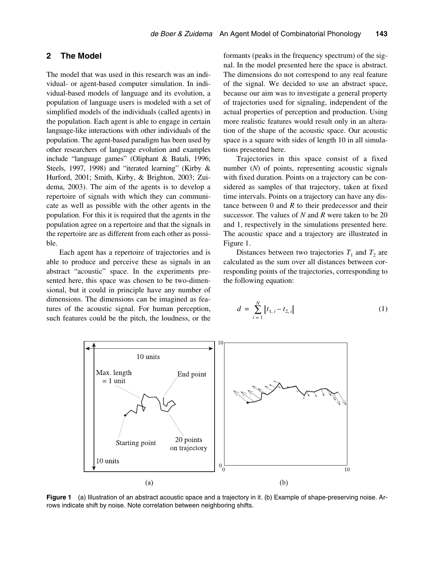## **2 The Model**

The model that was used in this research was an individual- or agent-based computer simulation. In individual-based models of language and its evolution, a population of language users is modeled with a set of simplified models of the individuals (called agents) in the population. Each agent is able to engage in certain language-like interactions with other individuals of the population. The agent-based paradigm has been used by other researchers of language evolution and examples include "language games" (Oliphant & Batali, 1996; Steels, 1997, 1998) and "iterated learning" (Kirby & Hurford, 2001; Smith, Kirby, & Brighton, 2003; Zuidema, 2003). The aim of the agents is to develop a repertoire of signals with which they can communicate as well as possible with the other agents in the population. For this it is required that the agents in the population agree on a repertoire and that the signals in the repertoire are as different from each other as possible.

Each agent has a repertoire of trajectories and is able to produce and perceive these as signals in an abstract "acoustic" space. In the experiments presented here, this space was chosen to be two-dimensional, but it could in principle have any number of dimensions. The dimensions can be imagined as features of the acoustic signal. For human perception, such features could be the pitch, the loudness, or the

formants (peaks in the frequency spectrum) of the signal. In the model presented here the space is abstract. The dimensions do not correspond to any real feature of the signal. We decided to use an abstract space, because our aim was to investigate a general property of trajectories used for signaling, independent of the actual properties of perception and production. Using more realistic features would result only in an alteration of the shape of the acoustic space. Our acoustic space is a square with sides of length 10 in all simulations presented here.

Trajectories in this space consist of a fixed number (*N*) of points, representing acoustic signals with fixed duration. Points on a trajectory can be considered as samples of that trajectory, taken at fixed time intervals. Points on a trajectory can have any distance between 0 and *R* to their predecessor and their successor. The values of *N* and *R* were taken to be 20 and 1, respectively in the simulations presented here. The acoustic space and a trajectory are illustrated in Figure 1.

Distances between two trajectories  $T_1$  and  $T_2$  are calculated as the sum over all distances between corresponding points of the trajectories, corresponding to the following equation:

$$
d = \sum_{i=1}^{N} ||t_{1,i} - t_{2,i}|| \tag{1}
$$



**Figure 1** (a) Illustration of an abstract acoustic space and a trajectory in it. (b) Example of shape-preserving noise. Arrows indicate shift by noise. Note correlation between neighboring shifts.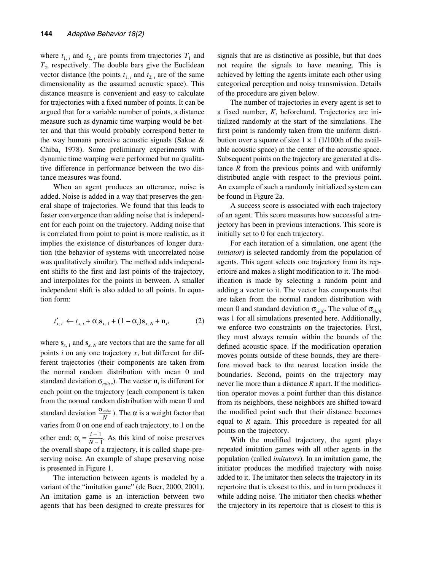where  $t_{1,i}$  and  $t_{2,i}$  are points from trajectories  $T_1$  and  $T_2$ , respectively. The double bars give the Euclidean vector distance (the points  $t_{1,i}$  and  $t_{2,i}$  are of the same dimensionality as the assumed acoustic space). This distance measure is convenient and easy to calculate for trajectories with a fixed number of points. It can be argued that for a variable number of points, a distance measure such as dynamic time warping would be better and that this would probably correspond better to the way humans perceive acoustic signals (Sakoe & Chiba, 1978). Some preliminary experiments with dynamic time warping were performed but no qualitative difference in performance between the two distance measures was found.

When an agent produces an utterance, noise is added. Noise is added in a way that preserves the general shape of trajectories. We found that this leads to faster convergence than adding noise that is independent for each point on the trajectory. Adding noise that is correlated from point to point is more realistic, as it implies the existence of disturbances of longer duration (the behavior of systems with uncorrelated noise was qualitatively similar). The method adds independent shifts to the first and last points of the trajectory, and interpolates for the points in between. A smaller independent shift is also added to all points. In equation form:

$$
t'_{x,i} \leftarrow t_{x,i} + \alpha_i \mathbf{s}_{x,1} + (1 - \alpha_i) \mathbf{s}_{x,N} + \mathbf{n}_i,
$$
 (2)

where  $\mathbf{s}_{x,1}$  and  $\mathbf{s}_{x,N}$  are vectors that are the same for all points *i* on any one trajectory *x*, but different for different trajectories (their components are taken from the normal random distribution with mean 0 and standard deviation  $\sigma_{noise}$ ). The vector  $\mathbf{n}_i$  is different for each point on the trajectory (each component is taken from the normal random distribution with mean 0 and standard deviation  $\frac{\sigma_{noise}}{N}$ ). The  $\alpha$  is a weight factor that varies from 0 on one end of each trajectory, to 1 on the other end:  $\alpha_i = \frac{i-1}{N-1}$ . As this kind of noise preserves the overall shape of a trajectory, it is called shape-preserving noise. An example of shape preserving noise is presented in Figure 1.  $\frac{S_{noise}}{N}$ 

The interaction between agents is modeled by a variant of the "imitation game" (de Boer, 2000, 2001). An imitation game is an interaction between two agents that has been designed to create pressures for signals that are as distinctive as possible, but that does not require the signals to have meaning. This is achieved by letting the agents imitate each other using categorical perception and noisy transmission. Details of the procedure are given below.

The number of trajectories in every agent is set to a fixed number, *K*, beforehand. Trajectories are initialized randomly at the start of the simulations. The first point is randomly taken from the uniform distribution over a square of size  $1 \times 1$  (1/100th of the available acoustic space) at the center of the acoustic space. Subsequent points on the trajectory are generated at distance *R* from the previous points and with uniformly distributed angle with respect to the previous point. An example of such a randomly initialized system can be found in Figure 2a.

A success score is associated with each trajectory of an agent. This score measures how successful a trajectory has been in previous interactions. This score is initially set to 0 for each trajectory.

For each iteration of a simulation, one agent (the *initiator*) is selected randomly from the population of agents. This agent selects one trajectory from its repertoire and makes a slight modification to it. The modification is made by selecting a random point and adding a vector to it. The vector has components that are taken from the normal random distribution with mean 0 and standard deviation  $\sigma_{shift}$ . The value of  $\sigma_{shift}$ was 1 for all simulations presented here. Additionally, we enforce two constraints on the trajectories. First, they must always remain within the bounds of the defined acoustic space. If the modification operation moves points outside of these bounds, they are therefore moved back to the nearest location inside the boundaries. Second, points on the trajectory may never lie more than a distance *R* apart. If the modification operator moves a point further than this distance from its neighbors, these neighbors are shifted toward the modified point such that their distance becomes equal to *R* again. This procedure is repeated for all points on the trajectory.

With the modified trajectory, the agent plays repeated imitation games with all other agents in the population (called *imitators*). In an imitation game, the initiator produces the modified trajectory with noise added to it. The imitator then selects the trajectory in its repertoire that is closest to this, and in turn produces it while adding noise. The initiator then checks whether the trajectory in its repertoire that is closest to this is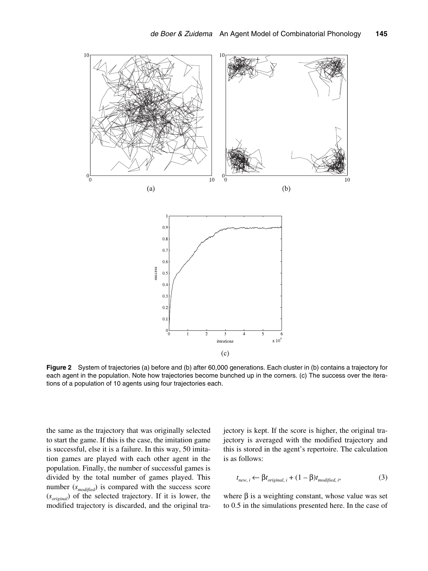

**Figure 2** System of trajectories (a) before and (b) after 60,000 generations. Each cluster in (b) contains a trajectory for each agent in the population. Note how trajectories become bunched up in the corners. (c) The success over the iterations of a population of 10 agents using four trajectories each.

the same as the trajectory that was originally selected to start the game. If this is the case, the imitation game is successful, else it is a failure. In this way, 50 imitation games are played with each other agent in the population. Finally, the number of successful games is divided by the total number of games played. This number ( $s_{modified}$ ) is compared with the success score (*soriginal*) of the selected trajectory. If it is lower, the modified trajectory is discarded, and the original trajectory is kept. If the score is higher, the original trajectory is averaged with the modified trajectory and this is stored in the agent's repertoire. The calculation is as follows:

$$
t_{new, i} \leftarrow \beta t_{original, i} + (1 - \beta) t_{modified, i}, \tag{3}
$$

where  $\beta$  is a weighting constant, whose value was set to 0.5 in the simulations presented here. In the case of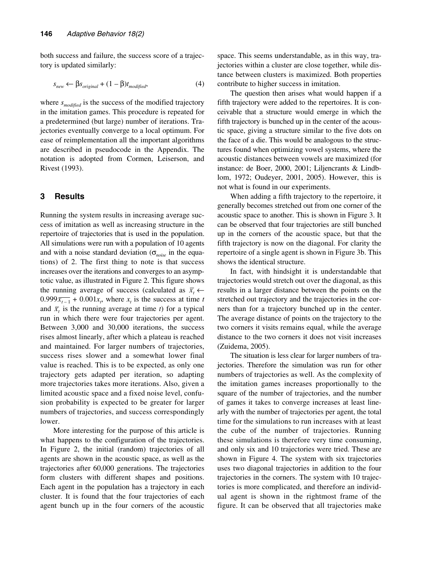both success and failure, the success score of a trajectory is updated similarly:

$$
s_{new} \leftarrow \beta s_{original} + (1 - \beta) t_{modified}, \tag{4}
$$

where  $s_{modified}$  is the success of the modified trajectory in the imitation games. This procedure is repeated for a predetermined (but large) number of iterations. Trajectories eventually converge to a local optimum. For ease of reimplementation all the important algorithms are described in pseudocode in the Appendix. The notation is adopted from Cormen, Leiserson, and Rivest (1993).

## **3 Results**

Running the system results in increasing average success of imitation as well as increasing structure in the repertoire of trajectories that is used in the population. All simulations were run with a population of 10 agents and with a noise standard deviation ( $\sigma_{noise}$  in the equations) of 2. The first thing to note is that success increases over the iterations and converges to an asymptotic value, as illustrated in Figure 2. This figure shows the running average of success (calculated as  $\bar{x}_t$   $\leftarrow$  $0.999\overline{x_{t-1}} + 0.001x_t$ , where  $x_t$  is the success at time *t* and  $\bar{x}_t$  is the running average at time *t*) for a typical run in which there were four trajectories per agent. Between 3,000 and 30,000 iterations, the success rises almost linearly, after which a plateau is reached and maintained. For larger numbers of trajectories, success rises slower and a somewhat lower final value is reached. This is to be expected, as only one trajectory gets adapted per iteration, so adapting more trajectories takes more iterations. Also, given a limited acoustic space and a fixed noise level, confusion probability is expected to be greater for larger numbers of trajectories, and success correspondingly lower.

More interesting for the purpose of this article is what happens to the configuration of the trajectories. In Figure 2, the initial (random) trajectories of all agents are shown in the acoustic space, as well as the trajectories after 60,000 generations. The trajectories form clusters with different shapes and positions. Each agent in the population has a trajectory in each cluster. It is found that the four trajectories of each agent bunch up in the four corners of the acoustic

space. This seems understandable, as in this way, trajectories within a cluster are close together, while distance between clusters is maximized. Both properties contribute to higher success in imitation.

The question then arises what would happen if a fifth trajectory were added to the repertoires. It is conceivable that a structure would emerge in which the fifth trajectory is bunched up in the center of the acoustic space, giving a structure similar to the five dots on the face of a die. This would be analogous to the structures found when optimizing vowel systems, where the acoustic distances between vowels are maximized (for instance: de Boer, 2000, 2001; Liljencrants & Lindblom, 1972; Oudeyer, 2001, 2005). However, this is not what is found in our experiments.

When adding a fifth trajectory to the repertoire, it generally becomes stretched out from one corner of the acoustic space to another. This is shown in Figure 3. It can be observed that four trajectories are still bunched up in the corners of the acoustic space, but that the fifth trajectory is now on the diagonal. For clarity the repertoire of a single agent is shown in Figure 3b. This shows the identical structure.

In fact, with hindsight it is understandable that trajectories would stretch out over the diagonal, as this results in a larger distance between the points on the stretched out trajectory and the trajectories in the corners than for a trajectory bunched up in the center. The average distance of points on the trajectory to the two corners it visits remains equal, while the average distance to the two corners it does not visit increases (Zuidema, 2005).

The situation is less clear for larger numbers of trajectories. Therefore the simulation was run for other numbers of trajectories as well. As the complexity of the imitation games increases proportionally to the square of the number of trajectories, and the number of games it takes to converge increases at least linearly with the number of trajectories per agent, the total time for the simulations to run increases with at least the cube of the number of trajectories. Running these simulations is therefore very time consuming, and only six and 10 trajectories were tried. These are shown in Figure 4. The system with six trajectories uses two diagonal trajectories in addition to the four trajectories in the corners. The system with 10 trajectories is more complicated, and therefore an individual agent is shown in the rightmost frame of the figure. It can be observed that all trajectories make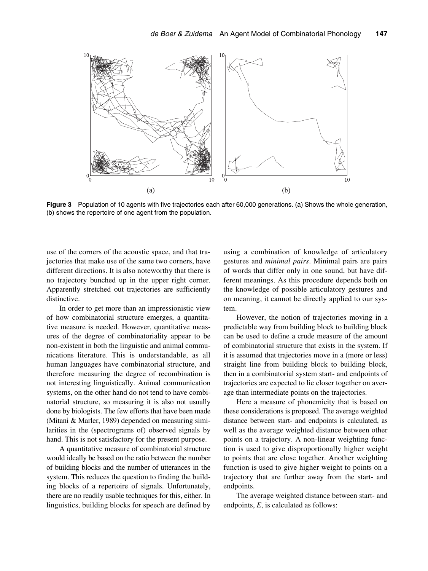

**Figure 3** Population of 10 agents with five trajectories each after 60,000 generations. (a) Shows the whole generation, (b) shows the repertoire of one agent from the population.

use of the corners of the acoustic space, and that trajectories that make use of the same two corners, have different directions. It is also noteworthy that there is no trajectory bunched up in the upper right corner. Apparently stretched out trajectories are sufficiently distinctive.

In order to get more than an impressionistic view of how combinatorial structure emerges, a quantitative measure is needed. However, quantitative measures of the degree of combinatoriality appear to be non-existent in both the linguistic and animal communications literature. This is understandable, as all human languages have combinatorial structure, and therefore measuring the degree of recombination is not interesting linguistically. Animal communication systems, on the other hand do not tend to have combinatorial structure, so measuring it is also not usually done by biologists. The few efforts that have been made (Mitani & Marler, 1989) depended on measuring similarities in the (spectrograms of) observed signals by hand. This is not satisfactory for the present purpose.

A quantitative measure of combinatorial structure would ideally be based on the ratio between the number of building blocks and the number of utterances in the system. This reduces the question to finding the building blocks of a repertoire of signals. Unfortunately, there are no readily usable techniques for this, either. In linguistics, building blocks for speech are defined by

using a combination of knowledge of articulatory gestures and *minimal pairs*. Minimal pairs are pairs of words that differ only in one sound, but have different meanings. As this procedure depends both on the knowledge of possible articulatory gestures and on meaning, it cannot be directly applied to our system.

However, the notion of trajectories moving in a predictable way from building block to building block can be used to define a crude measure of the amount of combinatorial structure that exists in the system. If it is assumed that trajectories move in a (more or less) straight line from building block to building block, then in a combinatorial system start- and endpoints of trajectories are expected to lie closer together on average than intermediate points on the trajectories.

Here a measure of phonemicity that is based on these considerations is proposed. The average weighted distance between start- and endpoints is calculated, as well as the average weighted distance between other points on a trajectory. A non-linear weighting function is used to give disproportionally higher weight to points that are close together. Another weighting function is used to give higher weight to points on a trajectory that are further away from the start- and endpoints.

The average weighted distance between start- and endpoints, *E*, is calculated as follows: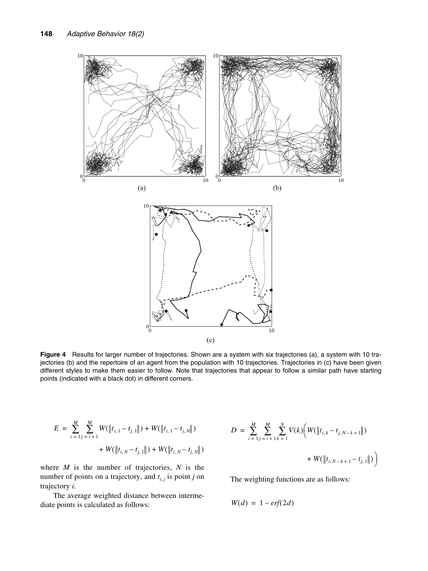

**Figure 4** Results for larger number of trajectories. Shown are a system with six trajectories (a), a system with 10 trajectories (b) and the repertoire of an agent from the population with 10 trajectories. Trajectories in (c) have been given different styles to make them easier to follow. Note that trajectories that appear to follow a similar path have starting points (indicated with a black dot) in different corners.

$$
E = \sum_{i=1}^{M} \sum_{j=i+1}^{M} W(\Vert t_{i,1} - t_{j,1} \Vert) + W(\Vert t_{i,1} - t_{j,N} \Vert) + W(\Vert t_{i,N} - t_{j,1} \Vert) + W(\Vert t_{i,N} - t_{j,N} \Vert)
$$

where *M* is the number of trajectories, *N* is the number of points on a trajectory, and  $t_{i,j}$  is point *j* on trajectory *i*.

The average weighted distance between intermediate points is calculated as follows:

$$
D = \sum_{i=1}^{M} \sum_{j=i+1}^{M} \sum_{k=1}^{N} V(k) \Big( W(||t_{i,k} - t_{j,N-k+1}||) + W(||t_{i,N-k+1} - t_{j,1}||) \Big)
$$

The weighting functions are as follows:

$$
W(d) = 1 - erf(2d)
$$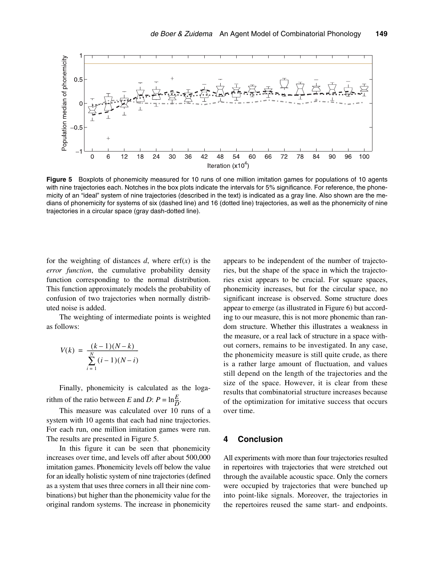

**Figure 5** Boxplots of phonemicity measured for 10 runs of one million imitation games for populations of 10 agents with nine trajectories each. Notches in the box plots indicate the intervals for 5% significance. For reference, the phonemicity of an "ideal" system of nine trajectories (described in the text) is indicated as a gray line. Also shown are the medians of phonemicity for systems of six (dashed line) and 16 (dotted line) trajectories, as well as the phonemicity of nine trajectories in a circular space (gray dash-dotted line).

for the weighting of distances  $d$ , where erf $(x)$  is the *error function*, the cumulative probability density function corresponding to the normal distribution. This function approximately models the probability of confusion of two trajectories when normally distributed noise is added.

The weighting of intermediate points is weighted as follows:

$$
V(k) = \frac{(k-1)(N-k)}{\sum_{i=1}^{N} (i-1)(N-i)}
$$

Finally, phonemicity is calculated as the logarithm of the ratio between *E* and *D*:  $P = \ln \frac{E}{D}$ . *D* ---

This measure was calculated over 10 runs of a system with 10 agents that each had nine trajectories. For each run, one million imitation games were run. The results are presented in Figure 5.

In this figure it can be seen that phonemicity increases over time, and levels off after about 500,000 imitation games. Phonemicity levels off below the value for an ideally holistic system of nine trajectories (defined as a system that uses three corners in all their nine combinations) but higher than the phonemicity value for the original random systems. The increase in phonemicity appears to be independent of the number of trajectories, but the shape of the space in which the trajectories exist appears to be crucial. For square spaces, phonemicity increases, but for the circular space, no significant increase is observed. Some structure does appear to emerge (as illustrated in Figure 6) but according to our measure, this is not more phonemic than random structure. Whether this illustrates a weakness in the measure, or a real lack of structure in a space without corners, remains to be investigated. In any case, the phonemicity measure is still quite crude, as there is a rather large amount of fluctuation, and values still depend on the length of the trajectories and the size of the space. However, it is clear from these results that combinatorial structure increases because of the optimization for imitative success that occurs over time.

#### **4 Conclusion**

All experiments with more than four trajectories resulted in repertoires with trajectories that were stretched out through the available acoustic space. Only the corners were occupied by trajectories that were bunched up into point-like signals. Moreover, the trajectories in the repertoires reused the same start- and endpoints.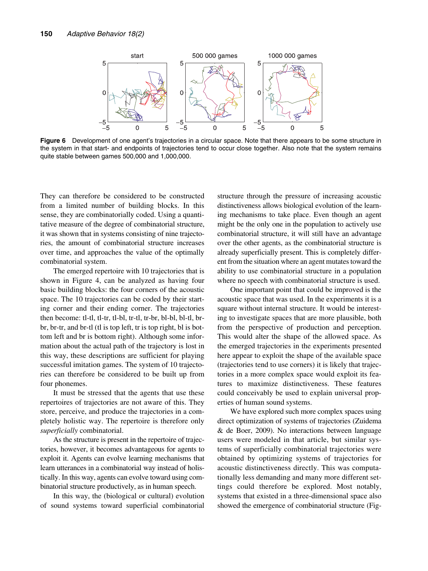

**Figure 6** Development of one agent's trajectories in a circular space. Note that there appears to be some structure in the system in that start- and endpoints of trajectories tend to occur close together. Also note that the system remains quite stable between games 500,000 and 1,000,000.

They can therefore be considered to be constructed from a limited number of building blocks. In this sense, they are combinatorially coded. Using a quantitative measure of the degree of combinatorial structure, it was shown that in systems consisting of nine trajectories, the amount of combinatorial structure increases over time, and approaches the value of the optimally combinatorial system.

The emerged repertoire with 10 trajectories that is shown in Figure 4, can be analyzed as having four basic building blocks: the four corners of the acoustic space. The 10 trajectories can be coded by their starting corner and their ending corner. The trajectories then become: tl-tl, tl-tr, tl-bl, tr-tl, tr-br, bl-bl, bl-tl, brbr, br-tr, and br-tl (tl is top left, tr is top right, bl is bottom left and br is bottom right). Although some information about the actual path of the trajectory is lost in this way, these descriptions are sufficient for playing successful imitation games. The system of 10 trajectories can therefore be considered to be built up from four phonemes.

It must be stressed that the agents that use these repertoires of trajectories are not aware of this. They store, perceive, and produce the trajectories in a completely holistic way. The repertoire is therefore only *superficially* combinatorial.

As the structure is present in the repertoire of trajectories, however, it becomes advantageous for agents to exploit it. Agents can evolve learning mechanisms that learn utterances in a combinatorial way instead of holistically. In this way, agents can evolve toward using combinatorial structure productively, as in human speech.

In this way, the (biological or cultural) evolution of sound systems toward superficial combinatorial structure through the pressure of increasing acoustic distinctiveness allows biological evolution of the learning mechanisms to take place. Even though an agent might be the only one in the population to actively use combinatorial structure, it will still have an advantage over the other agents, as the combinatorial structure is already superficially present. This is completely different from the situation where an agent mutates toward the ability to use combinatorial structure in a population where no speech with combinatorial structure is used.

One important point that could be improved is the acoustic space that was used. In the experiments it is a square without internal structure. It would be interesting to investigate spaces that are more plausible, both from the perspective of production and perception. This would alter the shape of the allowed space. As the emerged trajectories in the experiments presented here appear to exploit the shape of the available space (trajectories tend to use corners) it is likely that trajectories in a more complex space would exploit its features to maximize distinctiveness. These features could conceivably be used to explain universal properties of human sound systems.

We have explored such more complex spaces using direct optimization of systems of trajectories (Zuidema & de Boer, 2009). No interactions between language users were modeled in that article, but similar systems of superficially combinatorial trajectories were obtained by optimizing systems of trajectories for acoustic distinctiveness directly. This was computationally less demanding and many more different settings could therefore be explored. Most notably, systems that existed in a three-dimensional space also showed the emergence of combinatorial structure (Fig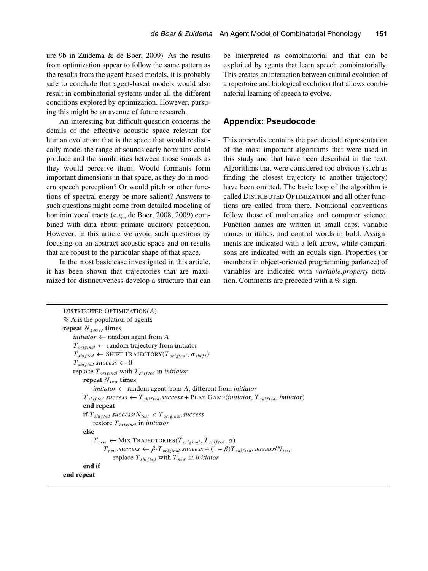ure 9b in Zuidema & de Boer, 2009). As the results from optimization appear to follow the same pattern as the results from the agent-based models, it is probably safe to conclude that agent-based models would also result in combinatorial systems under all the different conditions explored by optimization. However, pursuing this might be an avenue of future research.

An interesting but difficult question concerns the details of the effective acoustic space relevant for human evolution: that is the space that would realistically model the range of sounds early hominins could produce and the similarities between those sounds as they would perceive them. Would formants form important dimensions in that space, as they do in modern speech perception? Or would pitch or other functions of spectral energy be more salient? Answers to such questions might come from detailed modeling of hominin vocal tracts (e.g., de Boer, 2008, 2009) combined with data about primate auditory perception. However, in this article we avoid such questions by focusing on an abstract acoustic space and on results that are robust to the particular shape of that space.

In the most basic case investigated in this article, it has been shown that trajectories that are maximized for distinctiveness develop a structure that can be interpreted as combinatorial and that can be exploited by agents that learn speech combinatorially. This creates an interaction between cultural evolution of a repertoire and biological evolution that allows combinatorial learning of speech to evolve.

### **Appendix: Pseudocode**

This appendix contains the pseudocode representation of the most important algorithms that were used in this study and that have been described in the text. Algorithms that were considered too obvious (such as finding the closest trajectory to another trajectory) have been omitted. The basic loop of the algorithm is called DISTRIBUTED OPTIMIZATION and all other functions are called from there. Notational conventions follow those of mathematics and computer science. Function names are written in small caps, variable names in italics, and control words in bold. Assignments are indicated with a left arrow, while comparisons are indicated with an equals sign. Properties (or members in object-oriented programming parlance) of variables are indicated with *variable.property* notation. Comments are preceded with a % sign.

```
DISTRIBUTED OPTIMIZATION(A)% A is the population of agents
repeat N_{games} times
    initiator \leftarrow random agent from A
    T_{original} \leftarrow random trajectory from initiator
    T_{shifted} \leftarrow SHIFT TRAJECTORY(T_{original}, \sigma_{shift})
    T_{shifted}.success \leftarrow 0replace T_{original} with T_{shifted} in initiator
        repeat N_{test} times
             imitator \leftarrow random agent from A, different from initiator
        T_{shifted}.success \leftarrow T_{shifted}.success + PLAY GAME (initiator, T_{shifted}, imitator)end repeat
        if T_{shifted}. Success/N_{test} < T_{original}. Success
             restore T_{original} in initiator
        else
             T_{new} \leftarrow \text{Mix TRAJECTORIES}(T_{original}, T_{shifted}, \alpha)T_{new}.success \leftarrow \beta \cdot T_{original}.success + (1 - \beta) T_{shifted}.success/N_{test}replace T_{shifted} with T_{new} in initiator
        end if
```

```
end repeat
```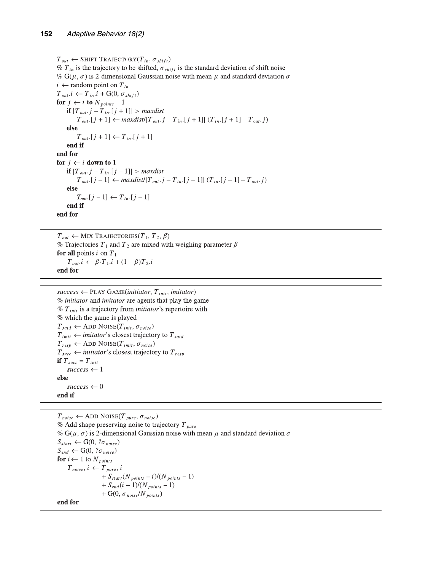$T_{out} \leftarrow$  SHIFT TRAJECTORY( $T_{in}, \sigma_{shift}$ )  $\% T_{in}$  is the trajectory to be shifted,  $\sigma_{shift}$  is the standard deviation of shift noise  $\%$  G( $\mu$ ,  $\sigma$ ) is 2-dimensional Gaussian noise with mean  $\mu$  and standard deviation  $\sigma$  $i \leftarrow$  random point on  $T_{in}$  $T_{out}.i \leftarrow T_{in}.i + G(0, \sigma_{shift})$ for  $j \leftarrow i$  to  $N_{points} - 1$ **if**  $|T_{out}.j - T_{in}.[j + 1]| > maxdist$  $T_{out}$ [j + 1]  $\leftarrow$  maxdist/ $[T_{out} \cdot j - T_{in} \cdot [j + 1]] (T_{in} \cdot [j + 1] - T_{out} \cdot j)$ else  $T_{out}$ [j + 1]  $\leftarrow T_{in}$ [j + 1] end if end for for  $j \leftarrow i$  down to 1 **if**  $|T_{out}.j - T_{in}.[j-1]| > maxdist$  $T_{out}$ [j - 1]  $\leftarrow$  maxdist/| $T_{out}$ .j -  $T_{in}$ [j - 1]|  $(T_{in}$ [j - 1] -  $T_{out}$ .j) else  $T_{out}$ [ $j-1$ ]  $\leftarrow$   $T_{in}$ [ $j-1$ ] end if end for

 $T_{out} \leftarrow \text{Mix TRAJECTORIES}(T_1, T_2, \beta)$ % Trajectories  $T_1$  and  $T_2$  are mixed with weighing parameter  $\beta$ for all points *i* on  $T_1$  $T_{out}.i \leftarrow \beta \cdot T_1.i + (1 - \beta)T_2.i$ end for

success  $\leftarrow$  PLAY GAME(initiator,  $T_{init}$ , imitator) % *initiator* and *imitator* are agents that play the game  $\% T_{init}$  is a trajectory from *initiator*'s repertoire with % which the game is played  $T_{said} \leftarrow$  ADD NOISE( $T_{init}, \sigma_{noise}$ )  $T_{imit} \leftarrow \text{imitator's closest trajectory to } T_{said}$  $T_{resp} \leftarrow$  ADD NOISE( $T_{imit}, \sigma_{noise}$ )  $T_{succ} \leftarrow initiator's closest trajectory to T_{resp}$ if  $T_{succ} = T_{init}$  $success \leftarrow 1$ else  $success \leftarrow 0$ end if

 $T_{noise} \leftarrow$  ADD NOISE( $T_{pure}, \sigma_{noise}$ ) % Add shape preserving noise to trajectory  $T_{pure}$ %  $G(\mu, \sigma)$  is 2-dimensional Gaussian noise with mean  $\mu$  and standard deviation  $\sigma$  $S_{start} \leftarrow G(0, ?\sigma_{noise})$  $S_{end} \leftarrow G(0, ?\sigma_{noise})$ for  $i \leftarrow 1$  to  $N_{points}$  $T_{noise}, i \leftarrow T_{pure}, i$ +  $S_{start}(N_{points} - i)/(N_{points} - 1)$  $+ S_{end}(i-1)/(N_{points}-1)$ +  $G(0, \sigma_{noise}/N_{points})$ end for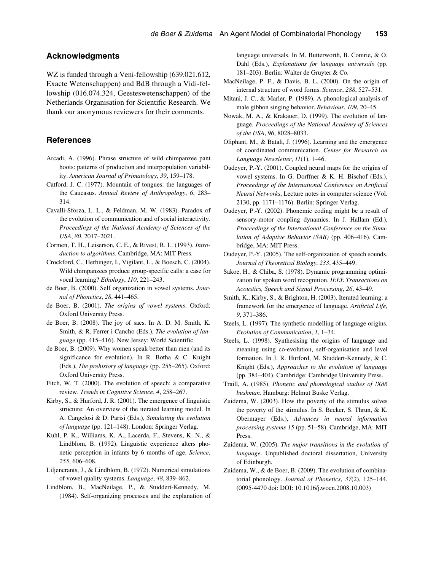## **Acknowledgments**

WZ is funded through a Veni-fellowship (639.021.612, Exacte Wetenschappen) and BdB through a Vidi-fellowship (016.074.324, Geesteswetenschappen) of the Netherlands Organisation for Scientific Research. We thank our anonymous reviewers for their comments.

## **References**

- Arcadi, A. (1996). Phrase structure of wild chimpanzee pant hoots: patterns of production and interpopulation variability. *American Journal of Primatology*, *39*, 159–178.
- Catford, J. C. (1977). Mountain of tongues: the languages of the Caucasus. *Annual Review of Anthropology*, *6*, 283– 314.
- Cavalli-Sforza, L. L., & Feldman, M. W. (1983). Paradox of the evolution of communication and of social interactivity. *Proceedings of the National Academy of Sciences of the USA*, *80*, 2017–2021.
- Cormen, T. H., Leiserson, C. E., & Rivest, R. L. (1993). *Introduction to algorithms*. Cambridge, MA: MIT Press.
- Crockford, C., Herbinger, I., Vigilant, L., & Boesch, C. (2004). Wild chimpanzees produce group-specific calls: a case for vocal learning? *Ethology*, *110*, 221–243.
- de Boer, B. (2000). Self organization in vowel systems. *Journal of Phonetics*, *28*, 441–465.
- de Boer, B. (2001). *The origins of vowel systems*. Oxford: Oxford University Press.
- de Boer, B. (2008). The joy of sacs. In A. D. M. Smith, K. Smith, & R. Ferrer i Cancho (Eds.), *The evolution of language* (pp. 415–416). New Jersey: World Scientific.
- de Boer, B. (2009). Why women speak better than men (and its significance for evolution). In R. Botha & C. Knight (Eds.), *The prehistory of language* (pp. 255–265). Oxford: Oxford University Press.
- Fitch, W. T. (2000). The evolution of speech: a comparative review. *Trends in Cognitive Science*, *4*, 258–267.
- Kirby, S., & Hurford, J. R. (2001). The emergence of linguistic structure: An overview of the iterated learning model. In A. Cangelosi & D. Parisi (Eds.), *Simulating the evolution of language* (pp. 121–148). London: Springer Verlag.
- Kuhl, P. K., Williams, K. A., Lacerda, F., Stevens, K. N., & Lindblom, B. (1992). Linguistic experience alters phonetic perception in infants by 6 months of age. *Science*, *255*, 606–608.
- Liljencrants, J., & Lindblom, B. (1972). Numerical simulations of vowel quality systems. *Language*, *48*, 839–862.
- Lindblom, B., MacNeilage, P., & Studdert-Kennedy, M. (1984). Self-organizing processes and the explanation of

language universals. In M. Butterworth, B. Comrie, & O. Dahl (Eds.), *Explanations for language universals* (pp. 181–203). Berlin: Walter de Gruyter & Co.

- MacNeilage, P. F., & Davis, B. L. (2000). On the origin of internal structure of word forms. *Science*, *288*, 527–531.
- Mitani, J. C., & Marler, P. (1989). A phonological analysis of male gibbon singing behavior. *Behaviour*, *109*, 20–45.
- Nowak, M. A., & Krakauer, D. (1999). The evolution of language. *Proceedings of the National Academy of Sciences of the USA*, *96*, 8028–8033.
- Oliphant, M., & Batali, J. (1996). Learning and the emergence of coordinated communication. *Center for Research on Language Newsletter*, *11*(1), 1–46.
- Oudeyer, P.-Y. (2001). Coupled neural maps for the origins of vowel systems. In G. Dorffner & K. H. Bischof (Eds.), *Proceedings of the International Conference on Artificial Neural Networks*, Lecture notes in computer science (Vol. 2130, pp. 1171–1176). Berlin: Springer Verlag.
- Oudeyer, P.-Y. (2002). Phonemic coding might be a result of sensory-motor coupling dynamics. In J. Hallam (Ed.), *Proceedings of the International Conference on the Simulation of Adaptive Behavior (SAB)* (pp. 406–416). Cambridge, MA: MIT Press.
- Oudeyer, P.-Y. (2005). The self-organization of speech sounds. *Journal of Theoretical Biology*, *233*, 435–449.
- Sakoe, H., & Chiba, S. (1978). Dynamic programming optimization for spoken word recognition. *IEEE Transactions on Acoustics, Speech and Signal Processing*, *26*, 43–49.
- Smith, K., Kirby, S., & Brighton, H. (2003). Iterated learning: a framework for the emergence of language. *Artificial Life*, *9*, 371–386.
- Steels, L. (1997). The synthetic modelling of language origins. *Evolution of Communication*, *1*, 1–34.
- Steels, L. (1998). Synthesising the origins of language and meaning using co-evolution, self-organisation and level formation. In J. R. Hurford, M. Studdert-Kennedy, & C. Knight (Eds.), *Approaches to the evolution of language* (pp. 384–404). Cambridge: Cambridge University Press.
- Traill, A. (1985). *Phonetic and phonological studies of !Xóõ bushman*. Hamburg: Helmut Buske Verlag.
- Zuidema, W. (2003). How the poverty of the stimulus solves the poverty of the stimulus. In S. Becker, S. Thrun, & K. Obermayer (Eds.), *Advances in neural information processing systems 15* (pp. 51–58). Cambridge, MA: MIT Press.
- Zuidema, W. (2005). *The major transitions in the evolution of language*. Unpublished doctoral dissertation, University of Edinburgh.
- Zuidema, W., & de Boer, B. (2009). The evolution of combinatorial phonology. *Journal of Phonetics*, *37*(2), 125–144. (0095-4470 doi: DOI: 10.1016/j.wocn.2008.10.003)